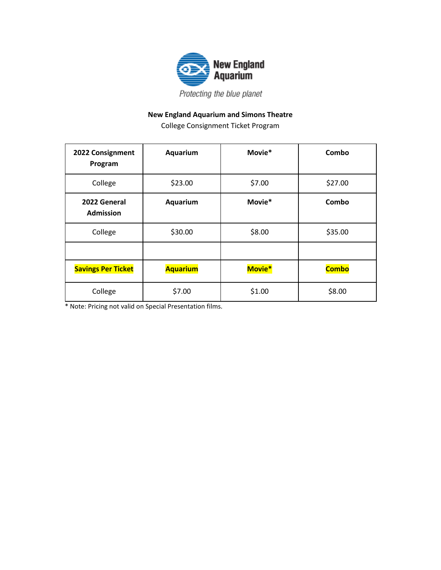

## **New England Aquarium and Simons Theatre**

College Consignment Ticket Program

| 2022 Consignment<br>Program      | Aquarium        | Movie* | Combo        |
|----------------------------------|-----------------|--------|--------------|
| College                          | \$23.00         | \$7.00 | \$27.00      |
| 2022 General<br><b>Admission</b> | Aquarium        | Movie* | Combo        |
| College                          | \$30.00         | \$8.00 | \$35.00      |
|                                  |                 |        |              |
| <b>Savings Per Ticket</b>        | <b>Aquarium</b> | Movie* | <b>Combo</b> |
| College                          | \$7.00          | \$1.00 | \$8.00       |

\* Note: Pricing not valid on Special Presentation films.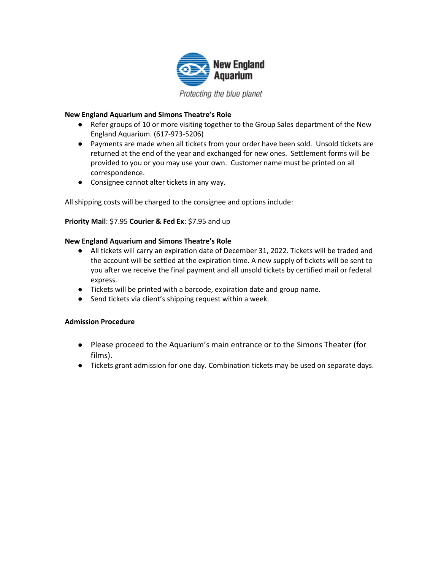

#### **New England Aquarium and Simons Theatre's Role**

- Refer groups of 10 or more visiting together to the Group Sales department of the New England Aquarium. (617-973-5206)
- Payments are made when all tickets from your order have been sold. Unsold tickets are returned at the end of the year and exchanged for new ones. Settlement forms will be provided to you or you may use your own. Customer name must be printed on all correspondence.
- Consignee cannot alter tickets in any way.

All shipping costs will be charged to the consignee and options include:

### **Priority Mail**: \$7.95 **Courier & Fed Ex**: \$7.95 and up

#### **New England Aquarium and Simons Theatre's Role**

- All tickets will carry an expiration date of December 31, 2022. Tickets will be traded and the account will be settled at the expiration time. A new supply of tickets will be sent to you after we receive the final payment and all unsold tickets by certified mail or federal express.
- Tickets will be printed with a barcode, expiration date and group name.
- Send tickets via client's shipping request within a week.

#### **Admission Procedure**

- Please proceed to the Aquarium's main entrance or to the Simons Theater (for films).
- Tickets grant admission for one day. Combination tickets may be used on separate days.